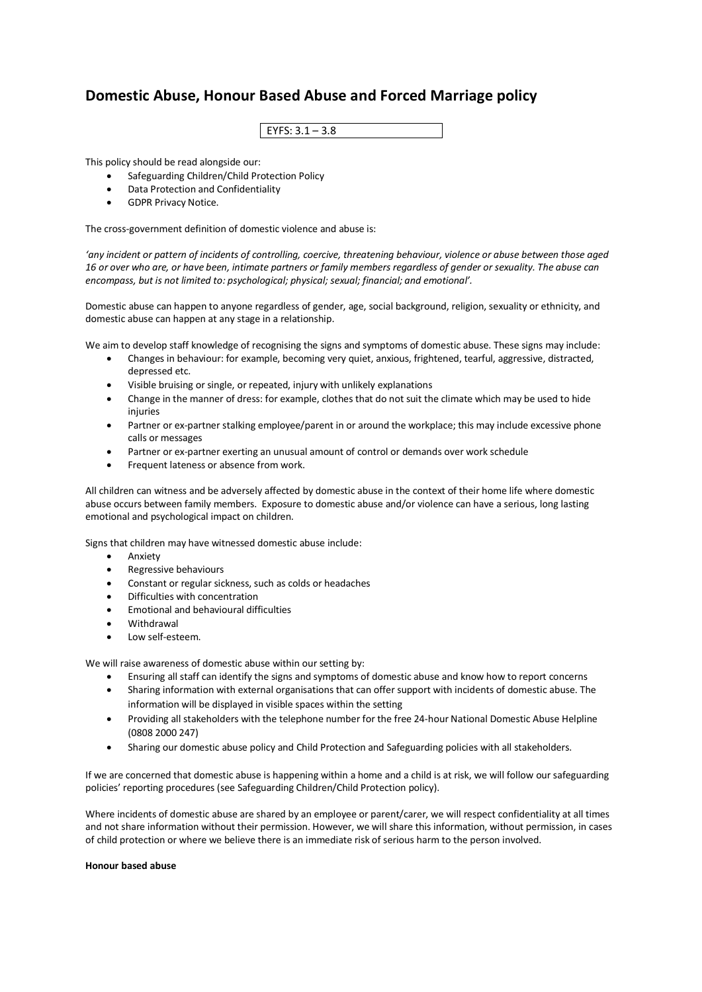## **Domestic Abuse, Honour Based Abuse and Forced Marriage policy**

| כ ו <i>כ</i> ריכ<br>EYFS: $3.1 - 3.8$ |  |
|---------------------------------------|--|
|                                       |  |

This policy should be read alongside our:

- Safeguarding Children/Child Protection Policy
- Data Protection and Confidentiality
- GDPR Privacy Notice.

The cross-government definition of domestic violence and abuse is:

*'any incident or pattern of incidents of controlling, coercive, threatening behaviour, violence or abuse between those aged 16 or over who are, or have been, intimate partners or family members regardless of gender or sexuality. The abuse can encompass, but is not limited to: psychological; physical; sexual; financial; and emotional'.*

Domestic abuse can happen to anyone regardless of gender, age, social background, religion, sexuality or ethnicity, and domestic abuse can happen at any stage in a relationship.

We aim to develop staff knowledge of recognising the signs and symptoms of domestic abuse. These signs may include:

- Changes in behaviour: for example, becoming very quiet, anxious, frightened, tearful, aggressive, distracted, depressed etc.
- Visible bruising or single, or repeated, injury with unlikely explanations
- Change in the manner of dress: for example, clothes that do not suit the climate which may be used to hide injuries
- Partner or ex-partner stalking employee/parent in or around the workplace; this may include excessive phone calls or messages
- Partner or ex-partner exerting an unusual amount of control or demands over work schedule
- Frequent lateness or absence from work.

All children can witness and be adversely affected by domestic abuse in the context of their home life where domestic abuse occurs between family members. Exposure to domestic abuse and/or violence can have a serious, long lasting emotional and psychological impact on children.

Signs that children may have witnessed domestic abuse include:

- Anxiety
- Regressive behaviours
- Constant or regular sickness, such as colds or headaches
- Difficulties with concentration
- Emotional and behavioural difficulties
- Withdrawal
- Low self-esteem.

We will raise awareness of domestic abuse within our setting by:

- Ensuring all staff can identify the signs and symptoms of domestic abuse and know how to report concerns
- Sharing information with external organisations that can offer support with incidents of domestic abuse. The information will be displayed in visible spaces within the setting
- Providing all stakeholders with the telephone number for the free 24-hour National Domestic Abuse Helpline (0808 2000 247)
- Sharing our domestic abuse policy and Child Protection and Safeguarding policies with all stakeholders.

If we are concerned that domestic abuse is happening within a home and a child is at risk, we will follow our safeguarding policies' reporting procedures (see Safeguarding Children/Child Protection policy).

Where incidents of domestic abuse are shared by an employee or parent/carer, we will respect confidentiality at all times and not share information without their permission. However, we will share this information, without permission, in cases of child protection or where we believe there is an immediate risk of serious harm to the person involved.

## **Honour based abuse**